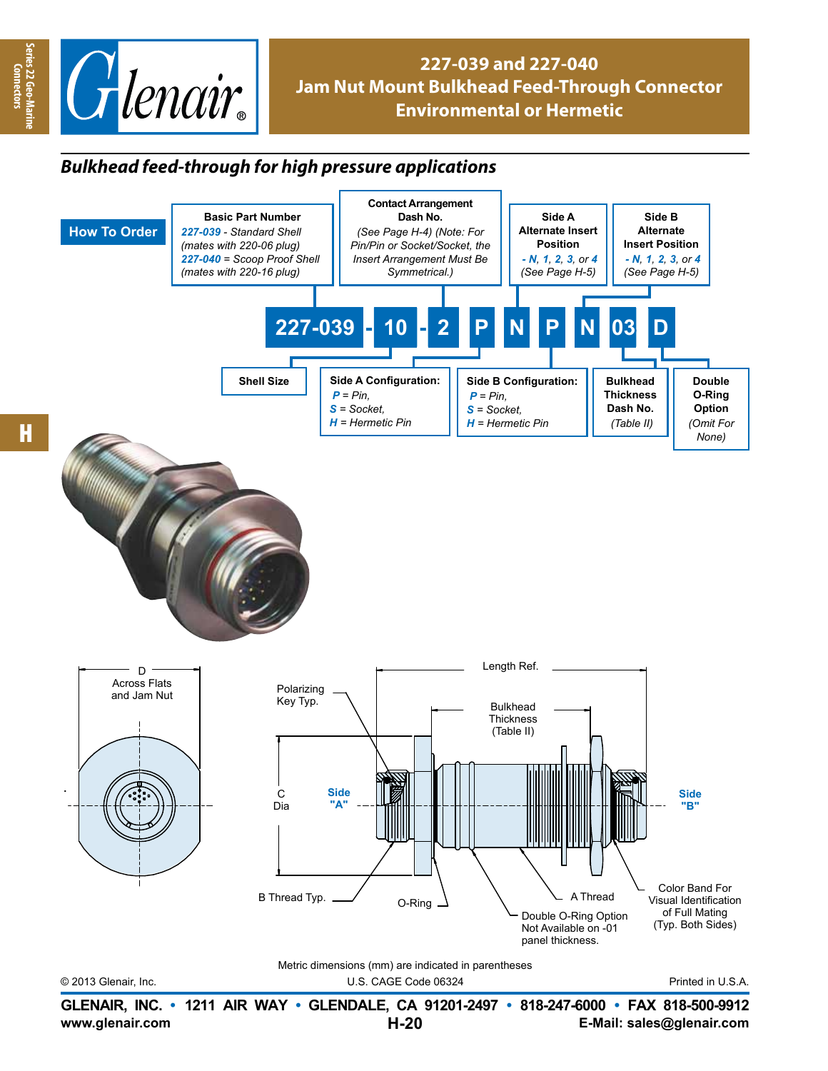

## **227-039 and 227-040 Jam Nut Mount Bulkhead Feed-Through Connector Environmental or Hermetic**

## *Bulkhead feed-through for high pressure applications*



**Series 22 Geo-Marine Connectors**

eries 22 Geo-Mari